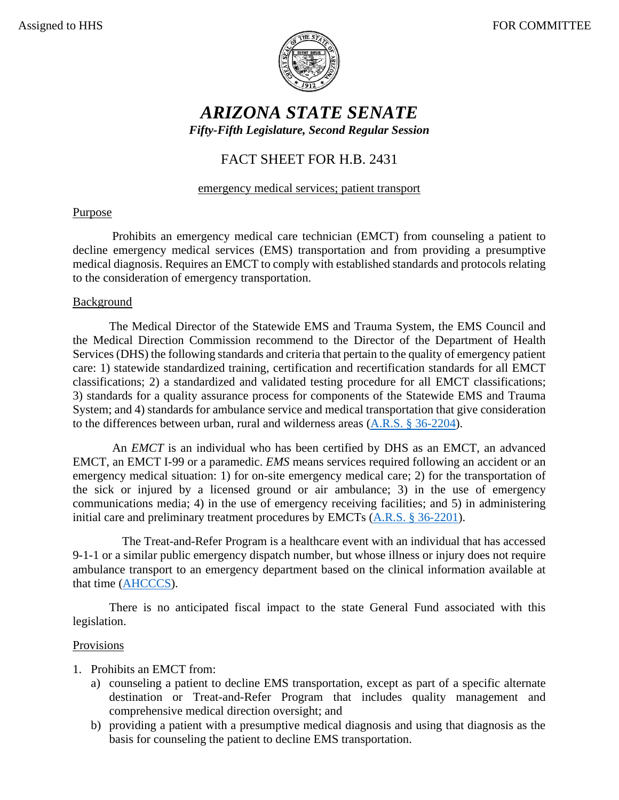

# *ARIZONA STATE SENATE Fifty-Fifth Legislature, Second Regular Session*

## FACT SHEET FOR H.B. 2431

#### emergency medical services; patient transport

#### Purpose

Prohibits an emergency medical care technician (EMCT) from counseling a patient to decline emergency medical services (EMS) transportation and from providing a presumptive medical diagnosis. Requires an EMCT to comply with established standards and protocols relating to the consideration of emergency transportation.

#### **Background**

The Medical Director of the Statewide EMS and Trauma System, the EMS Council and the Medical Direction Commission recommend to the Director of the Department of Health Services (DHS) the following standards and criteria that pertain to the quality of emergency patient care: 1) statewide standardized training, certification and recertification standards for all EMCT classifications; 2) a standardized and validated testing procedure for all EMCT classifications; 3) standards for a quality assurance process for components of the Statewide EMS and Trauma System; and 4) standards for ambulance service and medical transportation that give consideration to the differences between urban, rural and wilderness areas [\(A.R.S. § 36-2204\)](https://www.azleg.gov/viewdocument/?docName=https://www.azleg.gov/ars/36/02204.htm).

An *EMCT* is an individual who has been certified by DHS as an EMCT, an advanced EMCT, an EMCT I-99 or a paramedic. *EMS* means services required following an accident or an emergency medical situation: 1) for on-site emergency medical care; 2) for the transportation of the sick or injured by a licensed ground or air ambulance; 3) in the use of emergency communications media; 4) in the use of emergency receiving facilities; and 5) in administering initial care and preliminary treatment procedures by EMCTs [\(A.R.S. § 36-2201\)](https://www.azleg.gov/viewdocument/?docName=https://www.azleg.gov/ars/36/02201.htm).

The Treat-and-Refer Program is a healthcare event with an individual that has accessed 9-1-1 or a similar public emergency dispatch number, but whose illness or injury does not require ambulance transport to an emergency department based on the clinical information available at that time [\(AHCCCS\)](https://www.azahcccs.gov/PlansProviders/Downloads/NewProviders/091516%20Treat%20and%20Refer%20Questions%20and%20Answers.pdf).

There is no anticipated fiscal impact to the state General Fund associated with this legislation.

### Provisions

- 1. Prohibits an EMCT from:
	- a) counseling a patient to decline EMS transportation, except as part of a specific alternate destination or Treat-and-Refer Program that includes quality management and comprehensive medical direction oversight; and
	- b) providing a patient with a presumptive medical diagnosis and using that diagnosis as the basis for counseling the patient to decline EMS transportation.